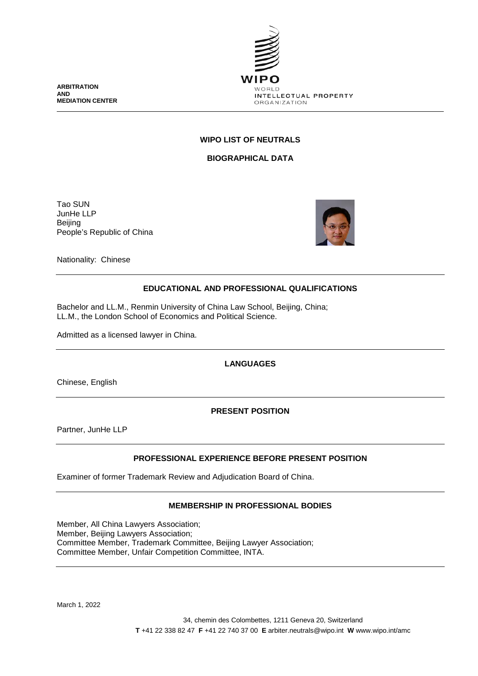**ARBITRATION AND MEDIATION CENTER**



# **WIPO LIST OF NEUTRALS**

**BIOGRAPHICAL DATA**

Tao SUN JunHe LLP Beijing People's Republic of China



Nationality: Chinese

# **EDUCATIONAL AND PROFESSIONAL QUALIFICATIONS**

Bachelor and LL.M., Renmin University of China Law School, Beijing, China; LL.M., the London School of Economics and Political Science.

Admitted as a licensed lawyer in China.

**LANGUAGES**

Chinese, English

**PRESENT POSITION**

Partner, JunHe LLP

# **PROFESSIONAL EXPERIENCE BEFORE PRESENT POSITION**

Examiner of former Trademark Review and Adjudication Board of China.

# **MEMBERSHIP IN PROFESSIONAL BODIES**

Member, All China Lawyers Association; Member, Beijing Lawyers Association; Committee Member, Trademark Committee, Beijing Lawyer Association; Committee Member, Unfair Competition Committee, INTA.

March 1, 2022